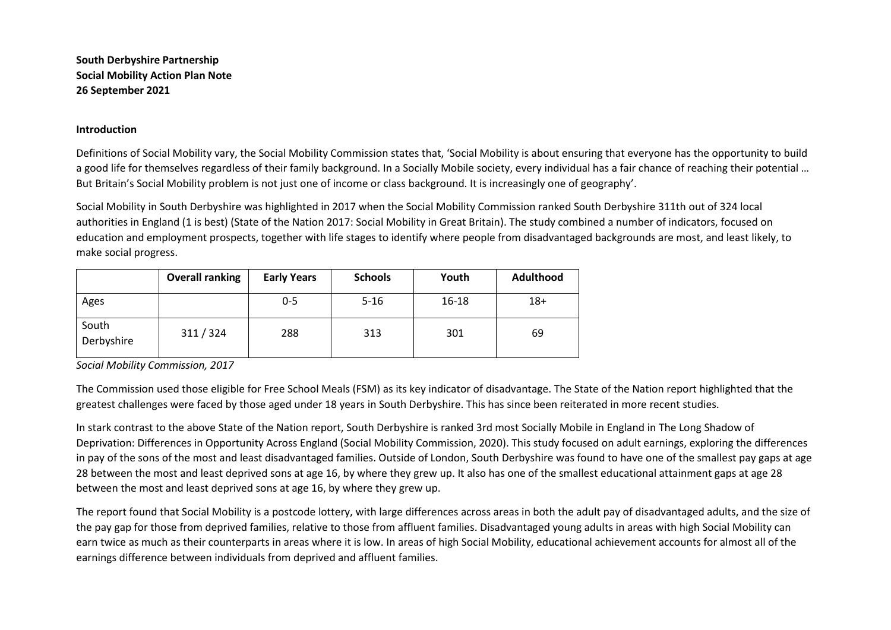**South Derbyshire Partnership Social Mobility Action Plan Note 26 September 2021** 

# **Introduction**

Definitions of Social Mobility vary, the Social Mobility Commission states that, 'Social Mobility is about ensuring that everyone has the opportunity to build a good life for themselves regardless of their family background. In a Socially Mobile society, every individual has a fair chance of reaching their potential ... But Britain's Social Mobility problem is not just one of income or class background. It is increasingly one of geography'.

Social Mobility in South Derbyshire was highlighted in 2017 when the Social Mobility Commission ranked South Derbyshire 311th out of 324 local authorities in England (1 is best) (State of the Nation 2017: Social Mobility in Great Britain). The study combined a number of indicators, focused on education and employment prospects, together with life stages to identify where people from disadvantaged backgrounds are most, and least likely, to make social progress.

|                     | <b>Overall ranking</b> | <b>Early Years</b> | <b>Schools</b> | Youth | <b>Adulthood</b> |
|---------------------|------------------------|--------------------|----------------|-------|------------------|
| Ages                |                        | $0 - 5$            | $5 - 16$       | 16-18 | $18+$            |
| South<br>Derbyshire | 311/324                | 288                | 313            | 301   | 69               |

*Social Mobility Commission, 2017* 

The Commission used those eligible for Free School Meals (FSM) as its key indicator of disadvantage. The State of the Nation report highlighted that the greatest challenges were faced by those aged under 18 years in South Derbyshire. This has since been reiterated in more recent studies.

In stark contrast to the above State of the Nation report, South Derbyshire is ranked 3rd most Socially Mobile in England in The Long Shadow of Deprivation: Differences in Opportunity Across England (Social Mobility Commission, 2020). This study focused on adult earnings, exploring the differences in pay of the sons of the most and least disadvantaged families. Outside of London, South Derbyshire was found to have one of the smallest pay gaps at age 28 between the most and least deprived sons at age 16, by where they grew up. It also has one of the smallest educational attainment gaps at age 28 between the most and least deprived sons at age 16, by where they grew up.

The report found that Social Mobility is a postcode lottery, with large differences across areas in both the adult pay of disadvantaged adults, and the size of the pay gap for those from deprived families, relative to those from affluent families. Disadvantaged young adults in areas with high Social Mobility can earn twice as much as their counterparts in areas where it is low. In areas of high Social Mobility, educational achievement accounts for almost all of the earnings difference between individuals from deprived and affluent families.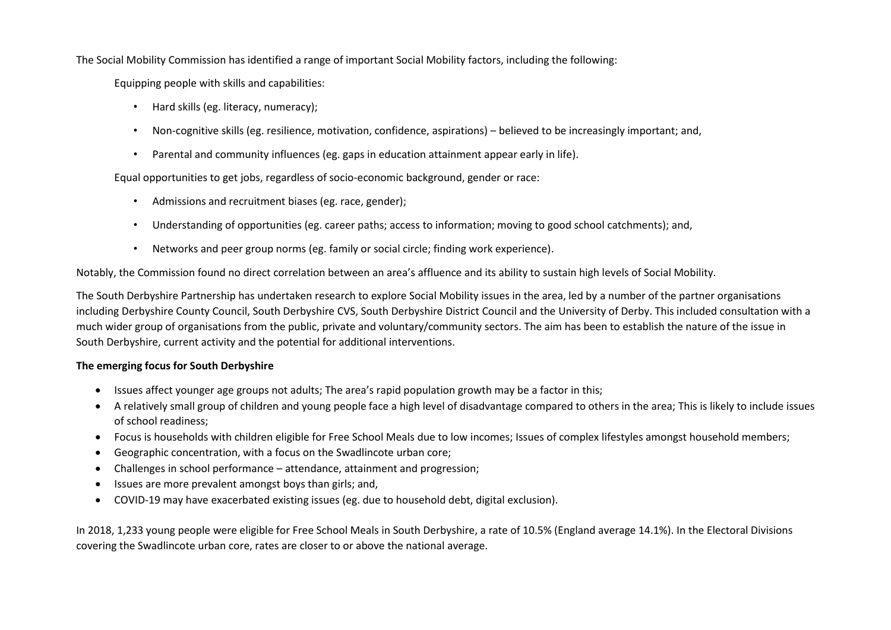The Social Mobility Commission has identified a range of important Social Mobility factors, including the following:

Equipping people with skills and capabilities:

- Hard skills (eg. literacy, numeracy);
- Non-cognitive skills (eg. resilience, motivation, confidence, aspirations) believed to be increasingly important; and,
- Parental and community influences (eg. gaps in education attainment appear early in life).

Equal opportunities to get jobs, regardless of socio-economic background, gender or race:

- Admissions and recruitment biases (eg. race, gender);
- Understanding of opportunities (eg. career paths; access to information; moving to good school catchments); and,
- Networks and peer group norms (eg. family or social circle; finding work experience).

Notably, the Commission found no direct correlation between an area's affluence and its ability to sustain high levels of Social Mobility.

The South Derbyshire Partnership has undertaken research to explore Social Mobility issues in the area, led by a number of the partner organisations including Derbyshire County Council, South Derbyshire CVS, South Derbyshire District Council and the University of Derby. This included consultation with a much wider group of organisations from the public, private and voluntary/community sectors. The aim has been to establish the nature of the issue in South Derbyshire, current activity and the potential for additional interventions.

# **The emerging focus for South Derbyshire**

- Issues affect younger age groups not adults; The area's rapid population growth may be a factor in this;
- A relatively small group of children and young people face a high level of disadvantage compared to others in the area; This is likely to include issues of school readiness;
- Focus is households with children eligible for Free School Meals due to low incomes; Issues of complex lifestyles amongst household members;
- Geographic concentration, with a focus on the Swadlincote urban core;
- Challenges in school performance attendance, attainment and progression;
- Issues are more prevalent amongst boys than girls; and,
- COVID-19 may have exacerbated existing issues (eg. due to household debt, digital exclusion).

In 2018, 1,233 young people were eligible for Free School Meals in South Derbyshire, a rate of 10.5% (England average 14.1%). In the Electoral Divisions covering the Swadlincote urban core, rates are closer to or above the national average.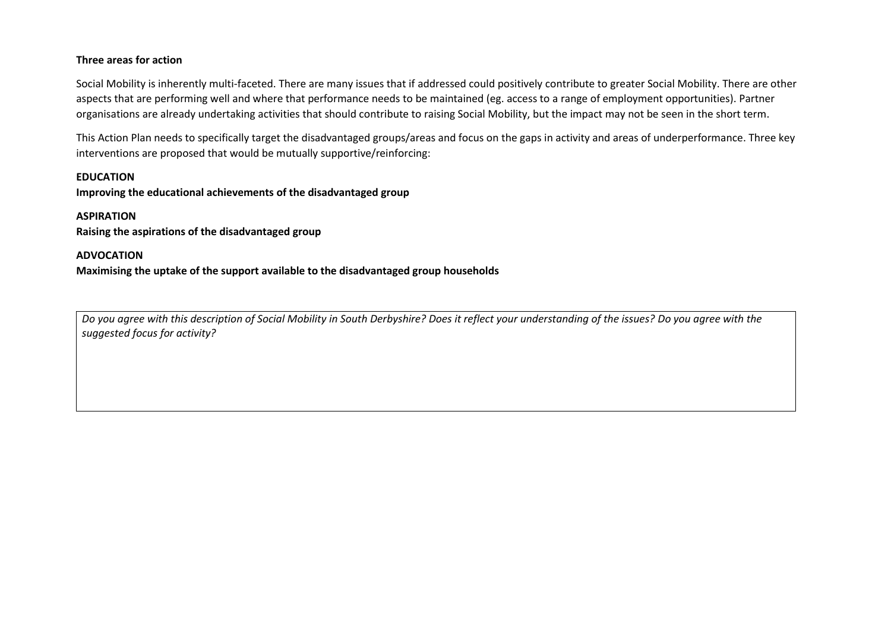# **Three areas for action**

Social Mobility is inherently multi-faceted. There are many issues that if addressed could positively contribute to greater Social Mobility. There are other aspects that are performing well and where that performance needs to be maintained (eg. access to a range of employment opportunities). Partner organisations are already undertaking activities that should contribute to raising Social Mobility, but the impact may not be seen in the short term.

This Action Plan needs to specifically target the disadvantaged groups/areas and focus on the gaps in activity and areas of underperformance. Three key interventions are proposed that would be mutually supportive/reinforcing:

# **EDUCATION**

**Improving the educational achievements of the disadvantaged group** 

# **ASPIRATION**

**Raising the aspirations of the disadvantaged group** 

# **ADVOCATION**

**Maximising the uptake of the support available to the disadvantaged group households** 

*Do you agree with this description of Social Mobility in South Derbyshire? Does it reflect your understanding of the issues? Do you agree with the suggested focus for activity?*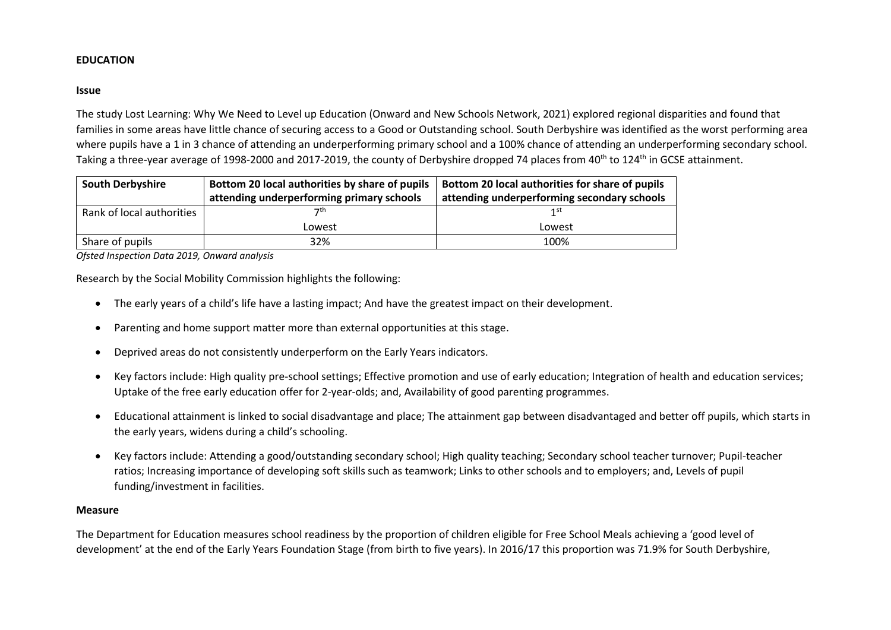# **EDUCATION**

#### **Issue**

The study Lost Learning: Why We Need to Level up Education (Onward and New Schools Network, 2021) explored regional disparities and found that families in some areas have little chance of securing access to a Good or Outstanding school. South Derbyshire was identified as the worst performing area where pupils have a 1 in 3 chance of attending an underperforming primary school and a 100% chance of attending an underperforming secondary school. Taking a three-year average of 1998-2000 and 2017-2019, the county of Derbyshire dropped 74 places from 40<sup>th</sup> to 124<sup>th</sup> in GCSE attainment.

| <b>South Derbyshire</b>   | Bottom 20 local authorities by share of pupils | Bottom 20 local authorities for share of pupils |  |  |  |
|---------------------------|------------------------------------------------|-------------------------------------------------|--|--|--|
|                           | attending underperforming primary schools      | attending underperforming secondary schools     |  |  |  |
| Rank of local authorities | 7 <sup>th</sup>                                | 1st                                             |  |  |  |
|                           | Lowest                                         | Lowest                                          |  |  |  |
| Share of pupils           | 32%                                            | 100%                                            |  |  |  |

*Ofsted Inspection Data 2019, Onward analysis* 

Research by the Social Mobility Commission highlights the following:

- The early years of a child's life have a lasting impact; And have the greatest impact on their development.
- Parenting and home support matter more than external opportunities at this stage.
- Deprived areas do not consistently underperform on the Early Years indicators.
- Key factors include: High quality pre-school settings; Effective promotion and use of early education; Integration of health and education services; Uptake of the free early education offer for 2-year-olds; and, Availability of good parenting programmes.
- Educational attainment is linked to social disadvantage and place; The attainment gap between disadvantaged and better off pupils, which starts in the early years, widens during a child's schooling.
- Key factors include: Attending a good/outstanding secondary school; High quality teaching; Secondary school teacher turnover; Pupil-teacher ratios; Increasing importance of developing soft skills such as teamwork; Links to other schools and to employers; and, Levels of pupil funding/investment in facilities.

#### **Measure**

The Department for Education measures school readiness by the proportion of children eligible for Free School Meals achieving a 'good level of development' at the end of the Early Years Foundation Stage (from birth to five years). In 2016/17 this proportion was 71.9% for South Derbyshire,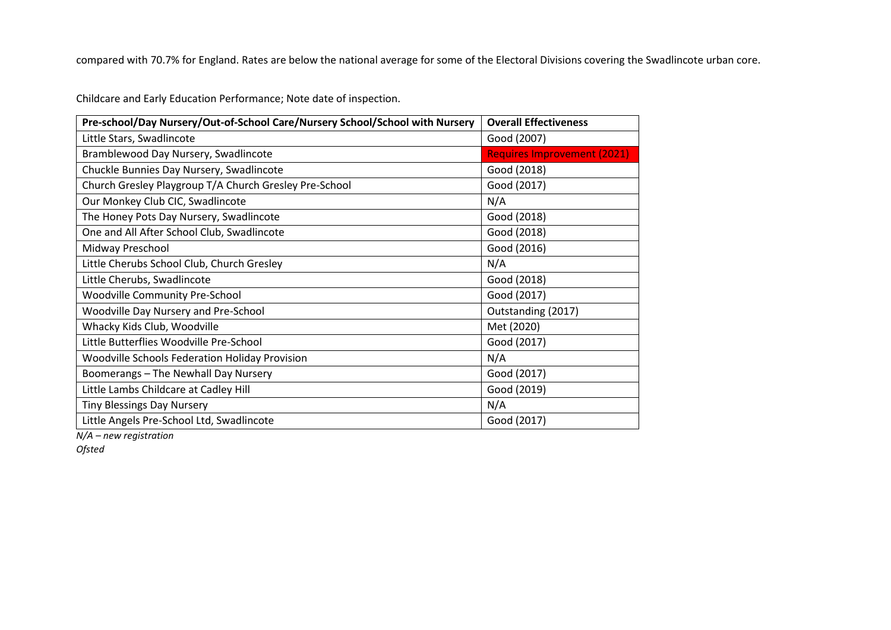compared with 70.7% for England. Rates are below the national average for some of the Electoral Divisions covering the Swadlincote urban core.

Childcare and Early Education Performance; Note date of inspection.

| Pre-school/Day Nursery/Out-of-School Care/Nursery School/School with Nursery | <b>Overall Effectiveness</b>       |
|------------------------------------------------------------------------------|------------------------------------|
| Little Stars, Swadlincote                                                    | Good (2007)                        |
| Bramblewood Day Nursery, Swadlincote                                         | <b>Requires Improvement (2021)</b> |
| Chuckle Bunnies Day Nursery, Swadlincote                                     | Good (2018)                        |
| Church Gresley Playgroup T/A Church Gresley Pre-School                       | Good (2017)                        |
| Our Monkey Club CIC, Swadlincote                                             | N/A                                |
| The Honey Pots Day Nursery, Swadlincote                                      | Good (2018)                        |
| One and All After School Club, Swadlincote                                   | Good (2018)                        |
| Midway Preschool                                                             | Good (2016)                        |
| Little Cherubs School Club, Church Gresley                                   | N/A                                |
| Little Cherubs, Swadlincote                                                  | Good (2018)                        |
| <b>Woodville Community Pre-School</b>                                        | Good (2017)                        |
| Woodville Day Nursery and Pre-School                                         | Outstanding (2017)                 |
| Whacky Kids Club, Woodville                                                  | Met (2020)                         |
| Little Butterflies Woodville Pre-School                                      | Good (2017)                        |
| <b>Woodville Schools Federation Holiday Provision</b>                        | N/A                                |
| Boomerangs - The Newhall Day Nursery                                         | Good (2017)                        |
| Little Lambs Childcare at Cadley Hill                                        | Good (2019)                        |
| <b>Tiny Blessings Day Nursery</b>                                            | N/A                                |
| Little Angels Pre-School Ltd, Swadlincote                                    | Good (2017)                        |

*N/A – new registration* 

*Ofsted*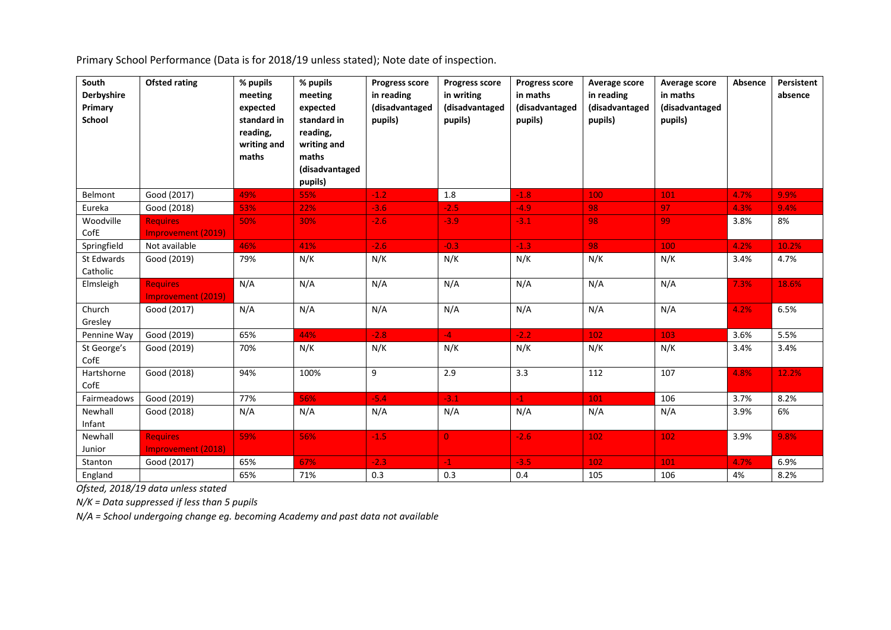Primary School Performance (Data is for 2018/19 unless stated); Note date of inspection.

| South<br><b>Derbyshire</b><br>Primary<br><b>School</b> | <b>Ofsted rating</b>                         | % pupils<br>meeting<br>expected<br>standard in<br>reading,<br>writing and<br>maths | % pupils<br>meeting<br>expected<br>standard in<br>reading,<br>writing and<br>maths<br>(disadvantaged<br>pupils) | <b>Progress score</b><br>in reading<br>(disadvantaged<br>pupils) | <b>Progress score</b><br>in writing<br>(disadvantaged<br>pupils) | <b>Progress score</b><br>in maths<br>(disadvantaged<br>pupils) | Average score<br>in reading<br>(disadvantaged<br>pupils) | Average score<br>in maths<br>(disadvantaged<br>pupils) | Absence | Persistent<br>absence |
|--------------------------------------------------------|----------------------------------------------|------------------------------------------------------------------------------------|-----------------------------------------------------------------------------------------------------------------|------------------------------------------------------------------|------------------------------------------------------------------|----------------------------------------------------------------|----------------------------------------------------------|--------------------------------------------------------|---------|-----------------------|
| Belmont                                                | Good (2017)                                  | 49%                                                                                | 55%                                                                                                             | $-1.2$                                                           | 1.8                                                              | $-1.8$                                                         | 100                                                      | 101                                                    | 4.7%    | 9.9%                  |
| Eureka                                                 | Good (2018)                                  | 53%                                                                                | 22%                                                                                                             | $-3.6$                                                           | $-2.5$                                                           | $-4.9$                                                         | 98                                                       | 97                                                     | 4.3%    | 9.4%                  |
| Woodville<br>CofE                                      | <b>Requires</b><br>Improvement (2019)        | 50%                                                                                | 30%                                                                                                             | $-2.6$                                                           | $-3.9$                                                           | $-3.1$                                                         | 98                                                       | 99                                                     | 3.8%    | 8%                    |
| Springfield                                            | Not available                                | 46%                                                                                | 41%                                                                                                             | $-2.6$                                                           | $-0.3$                                                           | $-1.3$                                                         | 98                                                       | 100                                                    | 4.2%    | 10.2%                 |
| St Edwards<br>Catholic                                 | Good (2019)                                  | 79%                                                                                | N/K                                                                                                             | N/K                                                              | N/K                                                              | N/K                                                            | N/K                                                      | N/K                                                    | 3.4%    | 4.7%                  |
| Elmsleigh                                              | <b>Requires</b><br><b>Improvement (2019)</b> | N/A                                                                                | N/A                                                                                                             | N/A                                                              | N/A                                                              | N/A                                                            | N/A                                                      | N/A                                                    | 7.3%    | 18.6%                 |
| Church<br>Gresley                                      | Good (2017)                                  | N/A                                                                                | N/A                                                                                                             | N/A                                                              | N/A                                                              | N/A                                                            | N/A                                                      | N/A                                                    | 4.2%    | 6.5%                  |
| Pennine Way                                            | Good (2019)                                  | 65%                                                                                | 44%                                                                                                             | $-2.8$                                                           | $-4$                                                             | $-2.2$                                                         | 102                                                      | 103                                                    | 3.6%    | 5.5%                  |
| St George's<br>CofE                                    | Good (2019)                                  | 70%                                                                                | N/K                                                                                                             | N/K                                                              | N/K                                                              | N/K                                                            | N/K                                                      | N/K                                                    | 3.4%    | 3.4%                  |
| Hartshorne<br>CofE                                     | Good (2018)                                  | 94%                                                                                | 100%                                                                                                            | 9                                                                | 2.9                                                              | 3.3                                                            | 112                                                      | 107                                                    | 4.8%    | 12.2%                 |
| Fairmeadows                                            | Good (2019)                                  | 77%                                                                                | 56%                                                                                                             | $-5.4$                                                           | $-3.1$                                                           | $-1$                                                           | 101                                                      | 106                                                    | 3.7%    | 8.2%                  |
| Newhall<br>Infant                                      | Good (2018)                                  | N/A                                                                                | N/A                                                                                                             | N/A                                                              | N/A                                                              | N/A                                                            | N/A                                                      | N/A                                                    | 3.9%    | 6%                    |
| Newhall<br>Junior                                      | <b>Requires</b><br><b>Improvement (2018)</b> | 59%                                                                                | 56%                                                                                                             | $-1.5$                                                           | $\overline{0}$                                                   | $-2.6$                                                         | 102                                                      | 102                                                    | 3.9%    | 9.8%                  |
| Stanton                                                | Good (2017)                                  | 65%                                                                                | 67%                                                                                                             | $-2.3$                                                           | $-1$                                                             | $-3.5$                                                         | 102                                                      | 101                                                    | 4.7%    | 6.9%                  |
| England                                                |                                              | 65%                                                                                | 71%                                                                                                             | 0.3                                                              | 0.3                                                              | 0.4                                                            | 105                                                      | 106                                                    | 4%      | 8.2%                  |

*Ofsted, 2018/19 data unless stated* 

*N/K = Data suppressed if less than 5 pupils* 

*N/A = School undergoing change eg. becoming Academy and past data not available*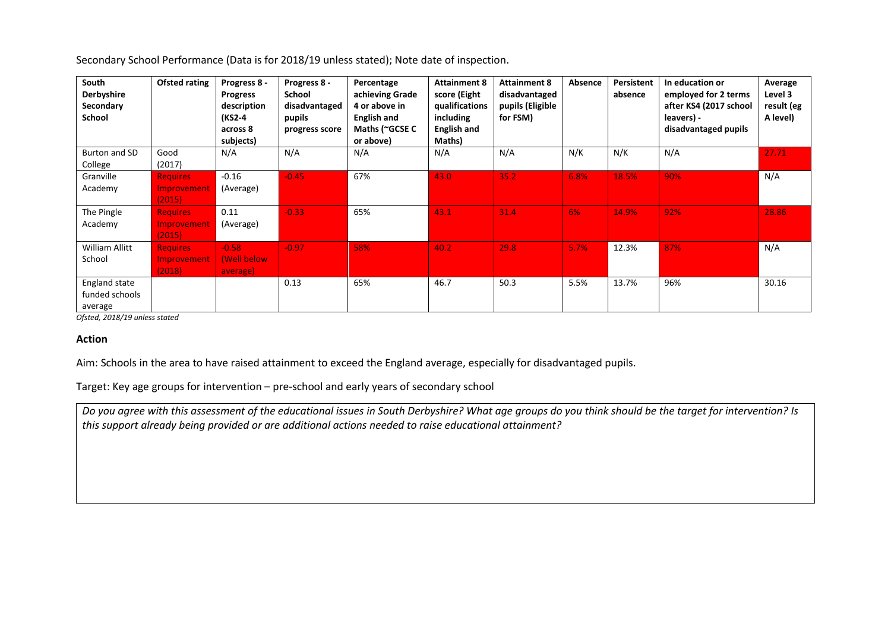Secondary School Performance (Data is for 2018/19 unless stated); Note date of inspection.

| South<br><b>Derbyshire</b><br>Secondary<br><b>School</b> | <b>Ofsted rating</b>                            | Progress 8 -<br><b>Progress</b><br>description<br>(KS2-4<br>across 8<br>subjects) | Progress 8 -<br>School<br>disadvantaged<br>pupils<br>progress score | Percentage<br>achieving Grade<br>4 or above in<br><b>English and</b><br>Maths (~GCSE C<br>or above) | <b>Attainment 8</b><br>score (Eight<br>qualifications<br>including<br><b>English and</b><br>Maths) | <b>Attainment 8</b><br>disadvantaged<br>pupils (Eligible<br>for FSM) | Absence | Persistent<br>absence | In education or<br>employed for 2 terms<br>after KS4 (2017 school<br>leavers) -<br>disadvantaged pupils | Average<br>Level 3<br>result (eg<br>A level) |
|----------------------------------------------------------|-------------------------------------------------|-----------------------------------------------------------------------------------|---------------------------------------------------------------------|-----------------------------------------------------------------------------------------------------|----------------------------------------------------------------------------------------------------|----------------------------------------------------------------------|---------|-----------------------|---------------------------------------------------------------------------------------------------------|----------------------------------------------|
| Burton and SD<br>College                                 | Good<br>(2017)                                  | N/A                                                                               | N/A                                                                 | N/A                                                                                                 | N/A                                                                                                | N/A                                                                  | N/K     | N/K                   | N/A                                                                                                     | 27.71                                        |
| Granville<br>Academy                                     | <b>Requires</b><br>Improvement<br>(2015)        | $-0.16$<br>(Average)                                                              | $-0.45$                                                             | 67%                                                                                                 | 43.0                                                                                               | 35.2                                                                 | 6.8%    | 18.5%                 | 90%                                                                                                     | N/A                                          |
| The Pingle<br>Academy                                    | <b>Requires</b><br>Improvement<br>(2015)        | 0.11<br>(Average)                                                                 | $-0.33$                                                             | 65%                                                                                                 | 43.1                                                                                               | 31.4                                                                 | 6%      | 14.9%                 | 92%                                                                                                     | 28.86                                        |
| William Allitt<br>School                                 | <b>Requires</b><br><b>Improvement</b><br>(2018) | $-0.58$<br>(Well below<br>average)                                                | $-0.97$                                                             | 58%                                                                                                 | 40.2                                                                                               | 29.8                                                                 | 5.7%    | 12.3%                 | 87%                                                                                                     | N/A                                          |
| England state<br>funded schools<br>average               |                                                 |                                                                                   | 0.13                                                                | 65%                                                                                                 | 46.7                                                                                               | 50.3                                                                 | 5.5%    | 13.7%                 | 96%                                                                                                     | 30.16                                        |

*Ofsted, 2018/19 unless stated* 

# **Action**

Aim: Schools in the area to have raised attainment to exceed the England average, especially for disadvantaged pupils.

Target: Key age groups for intervention – pre-school and early years of secondary school

*Do you agree with this assessment of the educational issues in South Derbyshire? What age groups do you think should be the target for intervention? Is this support already being provided or are additional actions needed to raise educational attainment?*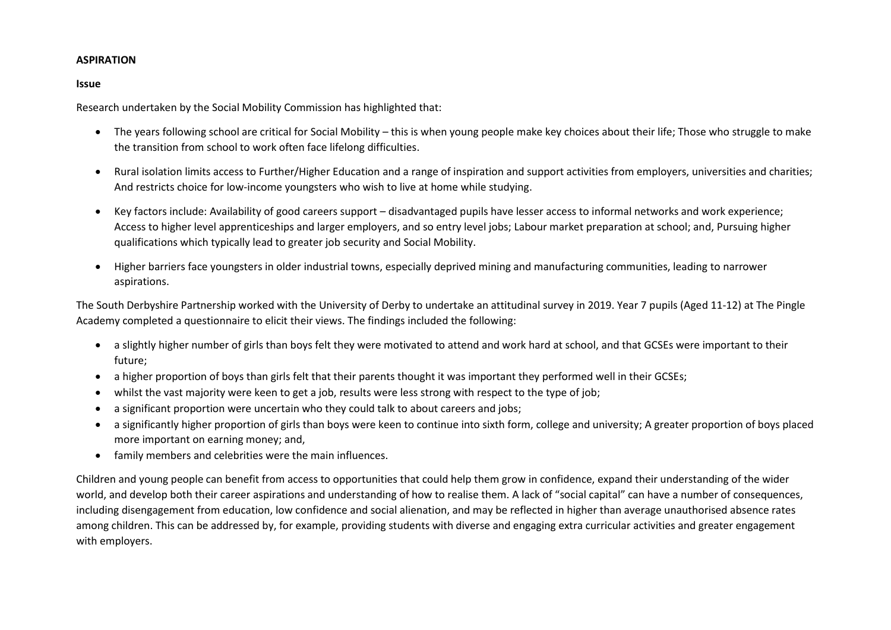# **ASPIRATION**

# **Issue**

Research undertaken by the Social Mobility Commission has highlighted that:

- The years following school are critical for Social Mobility this is when young people make key choices about their life; Those who struggle to make the transition from school to work often face lifelong difficulties.
- Rural isolation limits access to Further/Higher Education and a range of inspiration and support activities from employers, universities and charities; And restricts choice for low-income youngsters who wish to live at home while studying.
- Key factors include: Availability of good careers support disadvantaged pupils have lesser access to informal networks and work experience; Access to higher level apprenticeships and larger employers, and so entry level jobs; Labour market preparation at school; and, Pursuing higher qualifications which typically lead to greater job security and Social Mobility.
- Higher barriers face youngsters in older industrial towns, especially deprived mining and manufacturing communities, leading to narrower aspirations.

The South Derbyshire Partnership worked with the University of Derby to undertake an attitudinal survey in 2019. Year 7 pupils (Aged 11-12) at The Pingle Academy completed a questionnaire to elicit their views. The findings included the following:

- a slightly higher number of girls than boys felt they were motivated to attend and work hard at school, and that GCSEs were important to their future;
- a higher proportion of boys than girls felt that their parents thought it was important they performed well in their GCSEs;
- whilst the vast majority were keen to get a job, results were less strong with respect to the type of job;
- a significant proportion were uncertain who they could talk to about careers and jobs;
- a significantly higher proportion of girls than boys were keen to continue into sixth form, college and university; A greater proportion of boys placed more important on earning money; and,
- family members and celebrities were the main influences.

Children and young people can benefit from access to opportunities that could help them grow in confidence, expand their understanding of the wider world, and develop both their career aspirations and understanding of how to realise them. A lack of "social capital" can have a number of consequences, including disengagement from education, low confidence and social alienation, and may be reflected in higher than average unauthorised absence rates among children. This can be addressed by, for example, providing students with diverse and engaging extra curricular activities and greater engagement with employers.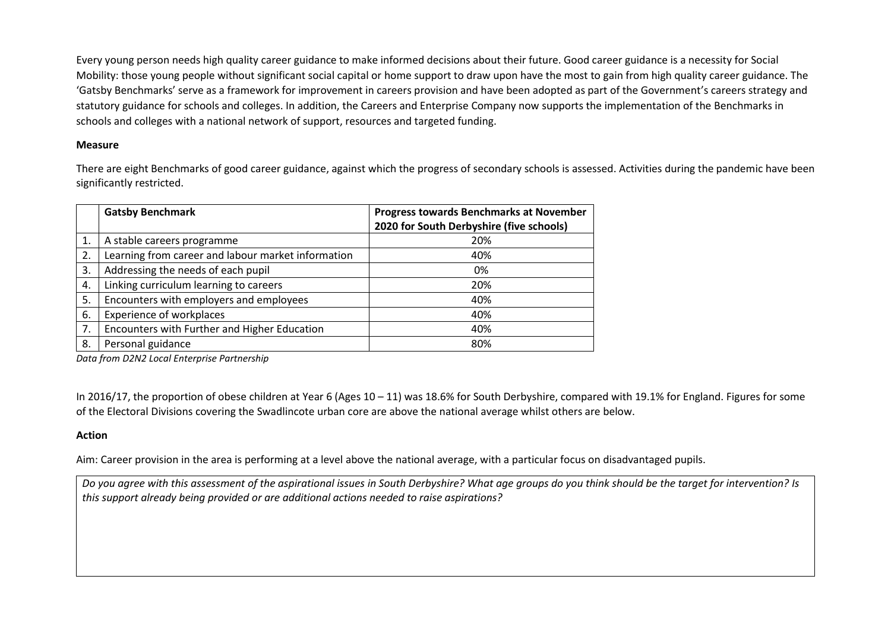Every young person needs high quality career guidance to make informed decisions about their future. Good career guidance is a necessity for Social Mobility: those young people without significant social capital or home support to draw upon have the most to gain from high quality career guidance. The 'Gatsby Benchmarks' serve as a framework for improvement in careers provision and have been adopted as part of the Government's careers strategy and statutory guidance for schools and colleges. In addition, the Careers and Enterprise Company now supports the implementation of the Benchmarks in schools and colleges with a national network of support, resources and targeted funding.

# **Measure**

There are eight Benchmarks of good career guidance, against which the progress of secondary schools is assessed. Activities during the pandemic have been significantly restricted.

|    | <b>Gatsby Benchmark</b>                            | <b>Progress towards Benchmarks at November</b><br>2020 for South Derbyshire (five schools) |
|----|----------------------------------------------------|--------------------------------------------------------------------------------------------|
|    | A stable careers programme                         | 20%                                                                                        |
| 2. | Learning from career and labour market information | 40%                                                                                        |
| 3. | Addressing the needs of each pupil                 | 0%                                                                                         |
| 4. | Linking curriculum learning to careers             | 20%                                                                                        |
| 5. | Encounters with employers and employees            | 40%                                                                                        |
| 6. | <b>Experience of workplaces</b>                    | 40%                                                                                        |
| 7. | Encounters with Further and Higher Education       | 40%                                                                                        |
| 8. | Personal guidance                                  | 80%                                                                                        |

*Data from D2N2 Local Enterprise Partnership* 

In 2016/17, the proportion of obese children at Year 6 (Ages 10 – 11) was 18.6% for South Derbyshire, compared with 19.1% for England. Figures for some of the Electoral Divisions covering the Swadlincote urban core are above the national average whilst others are below.

# **Action**

Aim: Career provision in the area is performing at a level above the national average, with a particular focus on disadvantaged pupils.

*Do you agree with this assessment of the aspirational issues in South Derbyshire? What age groups do you think should be the target for intervention? Is this support already being provided or are additional actions needed to raise aspirations?*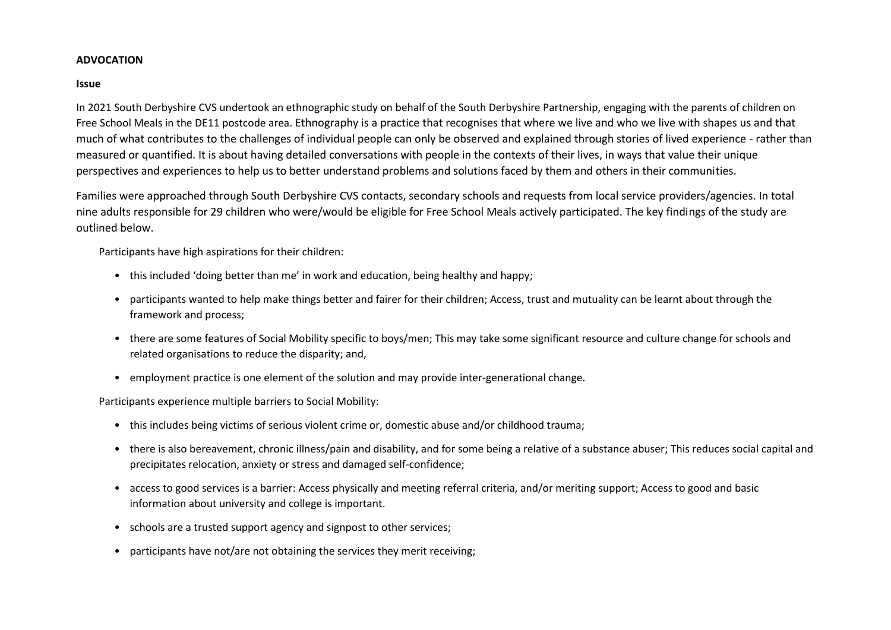#### **ADVOCATION**

#### **Issue**

In 2021 South Derbyshire CVS undertook an ethnographic study on behalf of the South Derbyshire Partnership, engaging with the parents of children on Free School Meals in the DE11 postcode area. Ethnography is a practice that recognises that where we live and who we live with shapes us and that much of what contributes to the challenges of individual people can only be observed and explained through stories of lived experience - rather than measured or quantified. It is about having detailed conversations with people in the contexts of their lives, in ways that value their unique perspectives and experiences to help us to better understand problems and solutions faced by them and others in their communities.

Families were approached through South Derbyshire CVS contacts, secondary schools and requests from local service providers/agencies. In total nine adults responsible for 29 children who were/would be eligible for Free School Meals actively participated. The key findings of the study are outlined below.

Participants have high aspirations for their children:

- this included 'doing better than me' in work and education, being healthy and happy;
- participants wanted to help make things better and fairer for their children; Access, trust and mutuality can be learnt about through the framework and process;
- there are some features of Social Mobility specific to boys/men; This may take some significant resource and culture change for schools and related organisations to reduce the disparity; and,
- employment practice is one element of the solution and may provide inter-generational change.

Participants experience multiple barriers to Social Mobility:

- this includes being victims of serious violent crime or, domestic abuse and/or childhood trauma;
- there is also bereavement, chronic illness/pain and disability, and for some being a relative of a substance abuser; This reduces social capital and precipitates relocation, anxiety or stress and damaged self-confidence;
- access to good services is a barrier: Access physically and meeting referral criteria, and/or meriting support; Access to good and basic information about university and college is important.
- schools are a trusted support agency and signpost to other services;
- participants have not/are not obtaining the services they merit receiving;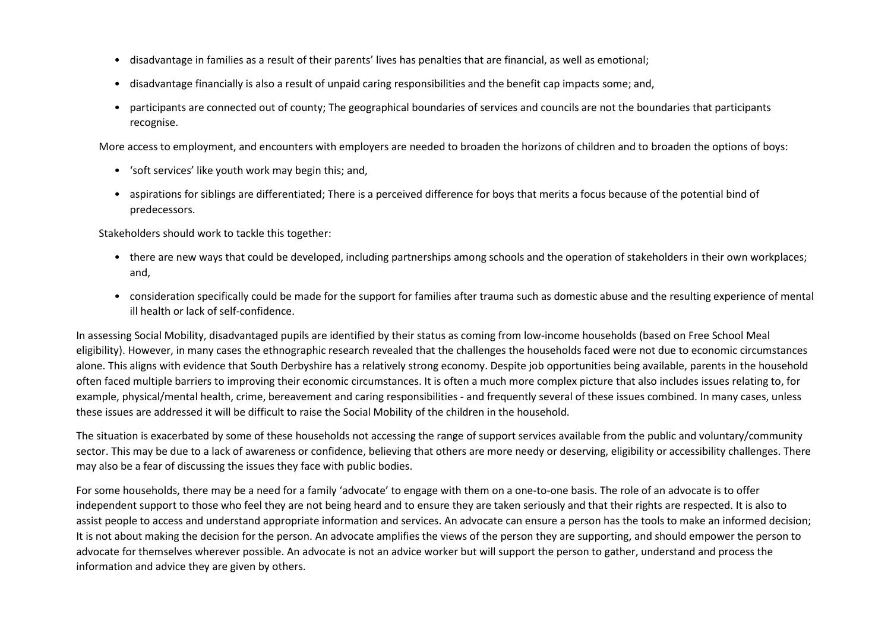- disadvantage in families as a result of their parents' lives has penalties that are financial, as well as emotional;
- disadvantage financially is also a result of unpaid caring responsibilities and the benefit cap impacts some; and,
- participants are connected out of county; The geographical boundaries of services and councils are not the boundaries that participants recognise.

More access to employment, and encounters with employers are needed to broaden the horizons of children and to broaden the options of boys:

- 'soft services' like youth work may begin this; and,
- aspirations for siblings are differentiated; There is a perceived difference for boys that merits a focus because of the potential bind of predecessors.

Stakeholders should work to tackle this together:

- there are new ways that could be developed, including partnerships among schools and the operation of stakeholders in their own workplaces; and,
- consideration specifically could be made for the support for families after trauma such as domestic abuse and the resulting experience of mental ill health or lack of self-confidence.

In assessing Social Mobility, disadvantaged pupils are identified by their status as coming from low-income households (based on Free School Meal eligibility). However, in many cases the ethnographic research revealed that the challenges the households faced were not due to economic circumstances alone. This aligns with evidence that South Derbyshire has a relatively strong economy. Despite job opportunities being available, parents in the household often faced multiple barriers to improving their economic circumstances. It is often a much more complex picture that also includes issues relating to, for example, physical/mental health, crime, bereavement and caring responsibilities - and frequently several of these issues combined. In many cases, unless these issues are addressed it will be difficult to raise the Social Mobility of the children in the household.

The situation is exacerbated by some of these households not accessing the range of support services available from the public and voluntary/community sector. This may be due to a lack of awareness or confidence, believing that others are more needy or deserving, eligibility or accessibility challenges. There may also be a fear of discussing the issues they face with public bodies.

For some households, there may be a need for a family 'advocate' to engage with them on a one-to-one basis. The role of an advocate is to offer independent support to those who feel they are not being heard and to ensure they are taken seriously and that their rights are respected. It is also to assist people to access and understand appropriate information and services. An advocate can ensure a person has the tools to make an informed decision; It is not about making the decision for the person. An advocate amplifies the views of the person they are supporting, and should empower the person to advocate for themselves wherever possible. An advocate is not an advice worker but will support the person to gather, understand and process the information and advice they are given by others.